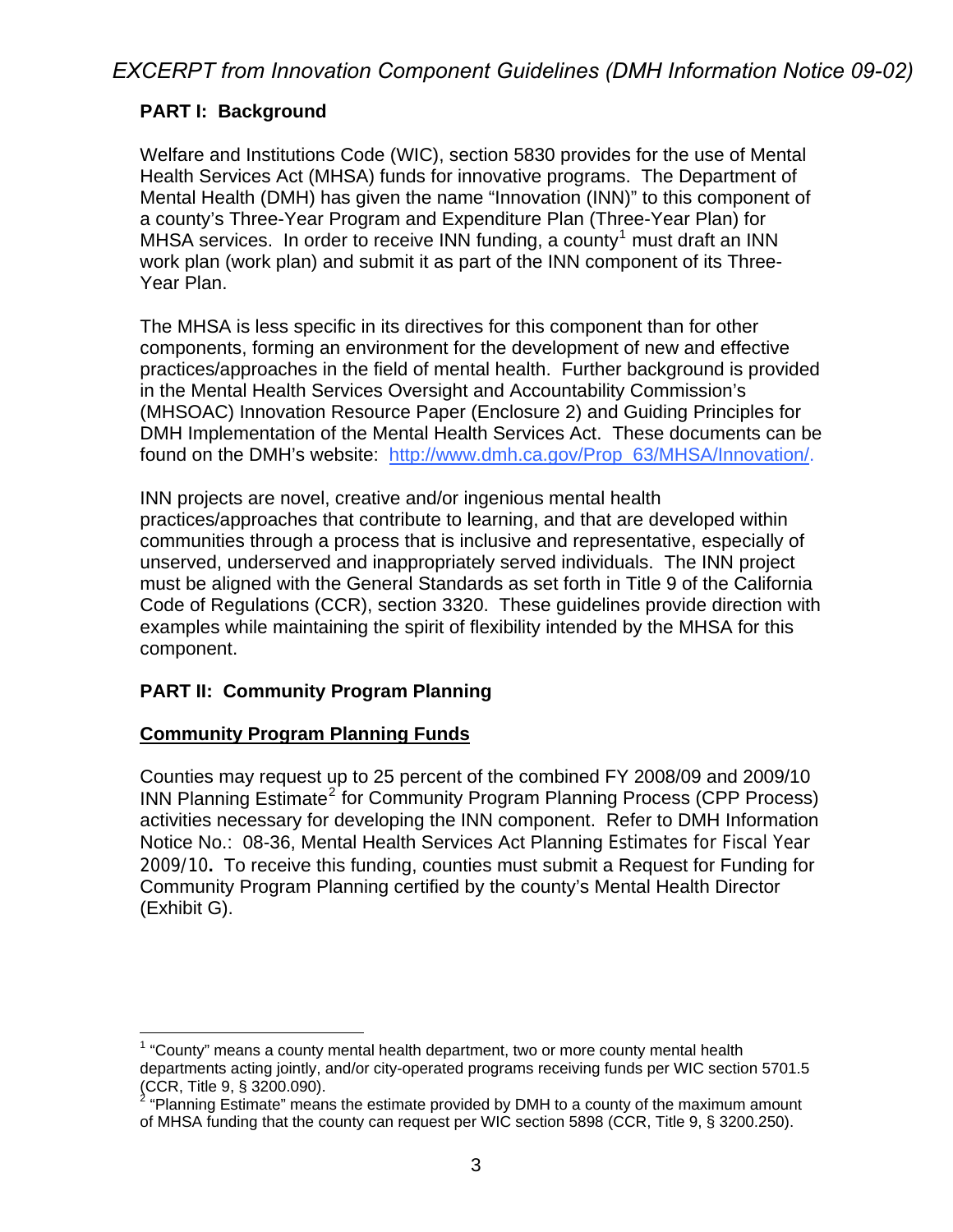## **PART I: Background**

Welfare and Institutions Code (WIC), section 5830 provides for the use of Mental Health Services Act (MHSA) funds for innovative programs. The Department of Mental Health (DMH) has given the name "Innovation (INN)" to this component of a county's Three-Year Program and Expenditure Plan (Three-Year Plan) for MHSA services. In order to receive INN funding, a county<sup>[1](#page-0-0)</sup> must draft an INN work plan (work plan) and submit it as part of the INN component of its Three-Year Plan.

The MHSA is less specific in its directives for this component than for other components, forming an environment for the development of new and effective practices/approaches in the field of mental health. Further background is provided in the Mental Health Services Oversight and Accountability Commission's (MHSOAC) Innovation Resource Paper (Enclosure 2) and Guiding Principles for DMH Implementation of the Mental Health Services Act. These documents can be found on the DMH's website: [http://www.dmh.ca.gov/Prop\\_63/MHSA/Innovation/](http://www.dmh.ca.gov/Prop_63/MHSA/Innovation/).

INN projects are novel, creative and/or ingenious mental health practices/approaches that contribute to learning, and that are developed within communities through a process that is inclusive and representative, especially of unserved, underserved and inappropriately served individuals. The INN project must be aligned with the General Standards as set forth in Title 9 of the California Code of Regulations (CCR), section 3320. These guidelines provide direction with examples while maintaining the spirit of flexibility intended by the MHSA for this component.

### **PART II: Community Program Planning**

### **Community Program Planning Funds**

Counties may request up to 25 percent of the combined FY 2008/09 and 2009/10 INN Planning Estimate<sup>[2](#page-0-1)</sup> for Community Program Planning Process (CPP Process) activities necessary for developing the INN component. Refer to DMH Information Notice No.: 08-36, Mental Health Services Act Planning Estimates for Fiscal Year 2009/10**.** To receive this funding, counties must submit a Request for Funding for Community Program Planning certified by the county's Mental Health Director (Exhibit G).

<span id="page-0-0"></span><sup>1</sup>  $1$  "County" means a county mental health department, two or more county mental health departments acting jointly, and/or city-operated programs receiving funds per WIC section 5701.5 (CCR, Title 9, § 3200.090).

<span id="page-0-1"></span> $2$  "Planning Estimate" means the estimate provided by DMH to a county of the maximum amount of MHSA funding that the county can request per WIC section 5898 (CCR, Title 9, § 3200.250).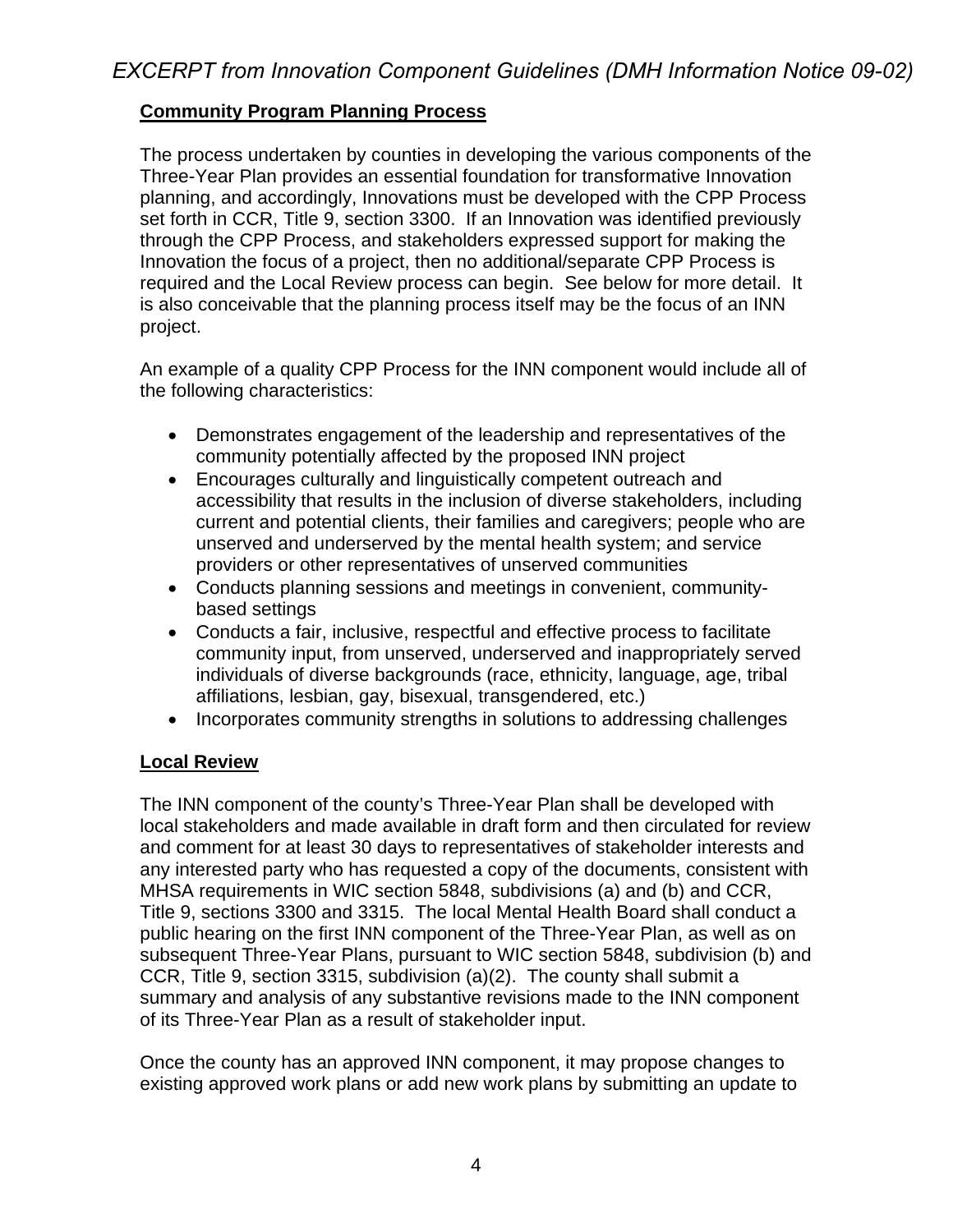## **Community Program Planning Process**

The process undertaken by counties in developing the various components of the Three-Year Plan provides an essential foundation for transformative Innovation planning, and accordingly, Innovations must be developed with the CPP Process set forth in CCR, Title 9, section 3300. If an Innovation was identified previously through the CPP Process, and stakeholders expressed support for making the Innovation the focus of a project, then no additional/separate CPP Process is required and the Local Review process can begin. See below for more detail. It is also conceivable that the planning process itself may be the focus of an INN project.

An example of a quality CPP Process for the INN component would include all of the following characteristics:

- Demonstrates engagement of the leadership and representatives of the community potentially affected by the proposed INN project
- Encourages culturally and linguistically competent outreach and accessibility that results in the inclusion of diverse stakeholders, including current and potential clients, their families and caregivers; people who are unserved and underserved by the mental health system; and service providers or other representatives of unserved communities
- Conducts planning sessions and meetings in convenient, communitybased settings
- Conducts a fair, inclusive, respectful and effective process to facilitate community input, from unserved, underserved and inappropriately served individuals of diverse backgrounds (race, ethnicity, language, age, tribal affiliations, lesbian, gay, bisexual, transgendered, etc.)
- Incorporates community strengths in solutions to addressing challenges

### **Local Review**

The INN component of the county's Three-Year Plan shall be developed with local stakeholders and made available in draft form and then circulated for review and comment for at least 30 days to representatives of stakeholder interests and any interested party who has requested a copy of the documents, consistent with MHSA requirements in WIC section 5848, subdivisions (a) and (b) and CCR, Title 9, sections 3300 and 3315. The local Mental Health Board shall conduct a public hearing on the first INN component of the Three-Year Plan, as well as on subsequent Three-Year Plans, pursuant to WIC section 5848, subdivision (b) and CCR, Title 9, section 3315, subdivision (a)(2). The county shall submit a summary and analysis of any substantive revisions made to the INN component of its Three-Year Plan as a result of stakeholder input.

Once the county has an approved INN component, it may propose changes to existing approved work plans or add new work plans by submitting an update to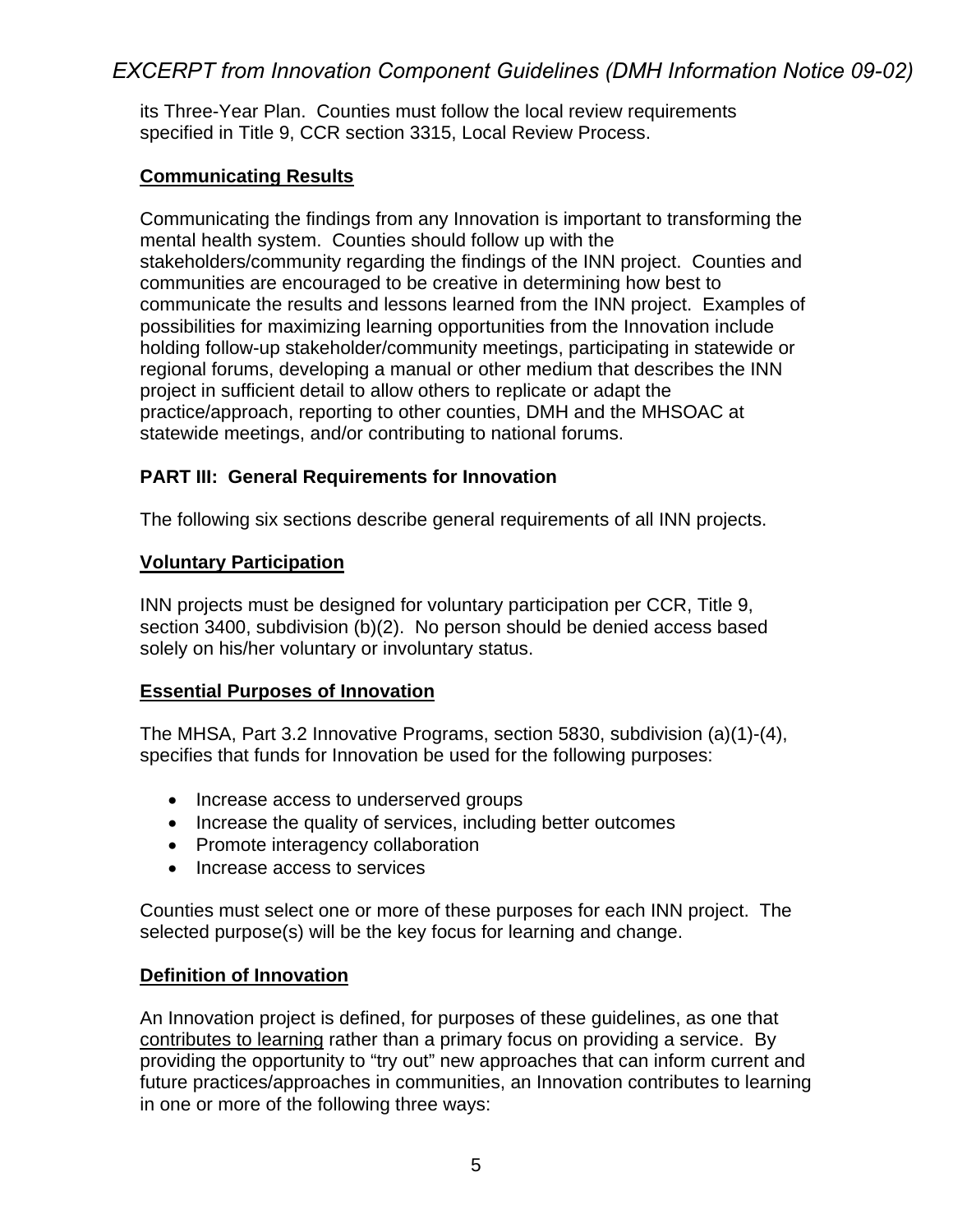its Three-Year Plan. Counties must follow the local review requirements specified in Title 9, CCR section 3315, Local Review Process.

### **Communicating Results**

Communicating the findings from any Innovation is important to transforming the mental health system. Counties should follow up with the stakeholders/community regarding the findings of the INN project. Counties and communities are encouraged to be creative in determining how best to communicate the results and lessons learned from the INN project. Examples of possibilities for maximizing learning opportunities from the Innovation include holding follow-up stakeholder/community meetings, participating in statewide or regional forums, developing a manual or other medium that describes the INN project in sufficient detail to allow others to replicate or adapt the practice/approach, reporting to other counties, DMH and the MHSOAC at statewide meetings, and/or contributing to national forums.

## **PART III: General Requirements for Innovation**

The following six sections describe general requirements of all INN projects.

### **Voluntary Participation**

INN projects must be designed for voluntary participation per CCR, Title 9, section 3400, subdivision (b)(2). No person should be denied access based solely on his/her voluntary or involuntary status.

### **Essential Purposes of Innovation**

The MHSA, Part 3.2 Innovative Programs, section 5830, subdivision (a)(1)-(4), specifies that funds for Innovation be used for the following purposes:

- Increase access to underserved groups
- Increase the quality of services, including better outcomes
- Promote interagency collaboration
- Increase access to services

Counties must select one or more of these purposes for each INN project. The selected purpose(s) will be the key focus for learning and change.

### **Definition of Innovation**

An Innovation project is defined, for purposes of these guidelines, as one that contributes to learning rather than a primary focus on providing a service. By providing the opportunity to "try out" new approaches that can inform current and future practices/approaches in communities, an Innovation contributes to learning in one or more of the following three ways: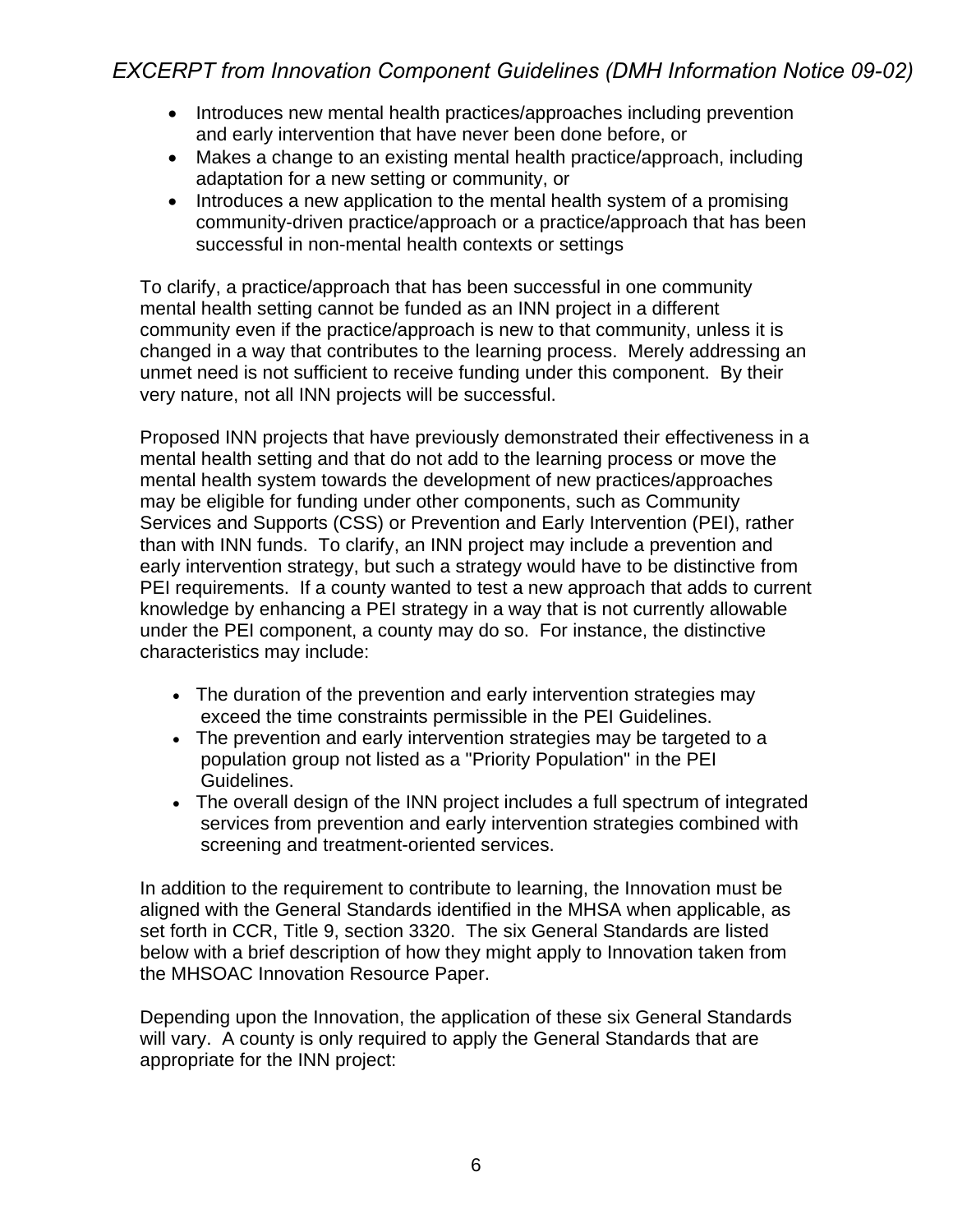- Introduces new mental health practices/approaches including prevention and early intervention that have never been done before, or
- Makes a change to an existing mental health practice/approach, including adaptation for a new setting or community, or
- Introduces a new application to the mental health system of a promising community-driven practice/approach or a practice/approach that has been successful in non-mental health contexts or settings

To clarify, a practice/approach that has been successful in one community mental health setting cannot be funded as an INN project in a different community even if the practice/approach is new to that community, unless it is changed in a way that contributes to the learning process. Merely addressing an unmet need is not sufficient to receive funding under this component. By their very nature, not all INN projects will be successful.

Proposed INN projects that have previously demonstrated their effectiveness in a mental health setting and that do not add to the learning process or move the mental health system towards the development of new practices/approaches may be eligible for funding under other components, such as Community Services and Supports (CSS) or Prevention and Early Intervention (PEI), rather than with INN funds. To clarify, an INN project may include a prevention and early intervention strategy, but such a strategy would have to be distinctive from PEI requirements. If a county wanted to test a new approach that adds to current knowledge by enhancing a PEI strategy in a way that is not currently allowable under the PEI component, a county may do so. For instance, the distinctive characteristics may include:

- The duration of the prevention and early intervention strategies may exceed the time constraints permissible in the PEI Guidelines.
- The prevention and early intervention strategies may be targeted to a population group not listed as a "Priority Population" in the PEI Guidelines.
- The overall design of the INN project includes a full spectrum of integrated services from prevention and early intervention strategies combined with screening and treatment-oriented services.

In addition to the requirement to contribute to learning, the Innovation must be aligned with the General Standards identified in the MHSA when applicable, as set forth in CCR, Title 9, section 3320. The six General Standards are listed below with a brief description of how they might apply to Innovation taken from the MHSOAC Innovation Resource Paper.

Depending upon the Innovation, the application of these six General Standards will vary. A county is only required to apply the General Standards that are appropriate for the INN project: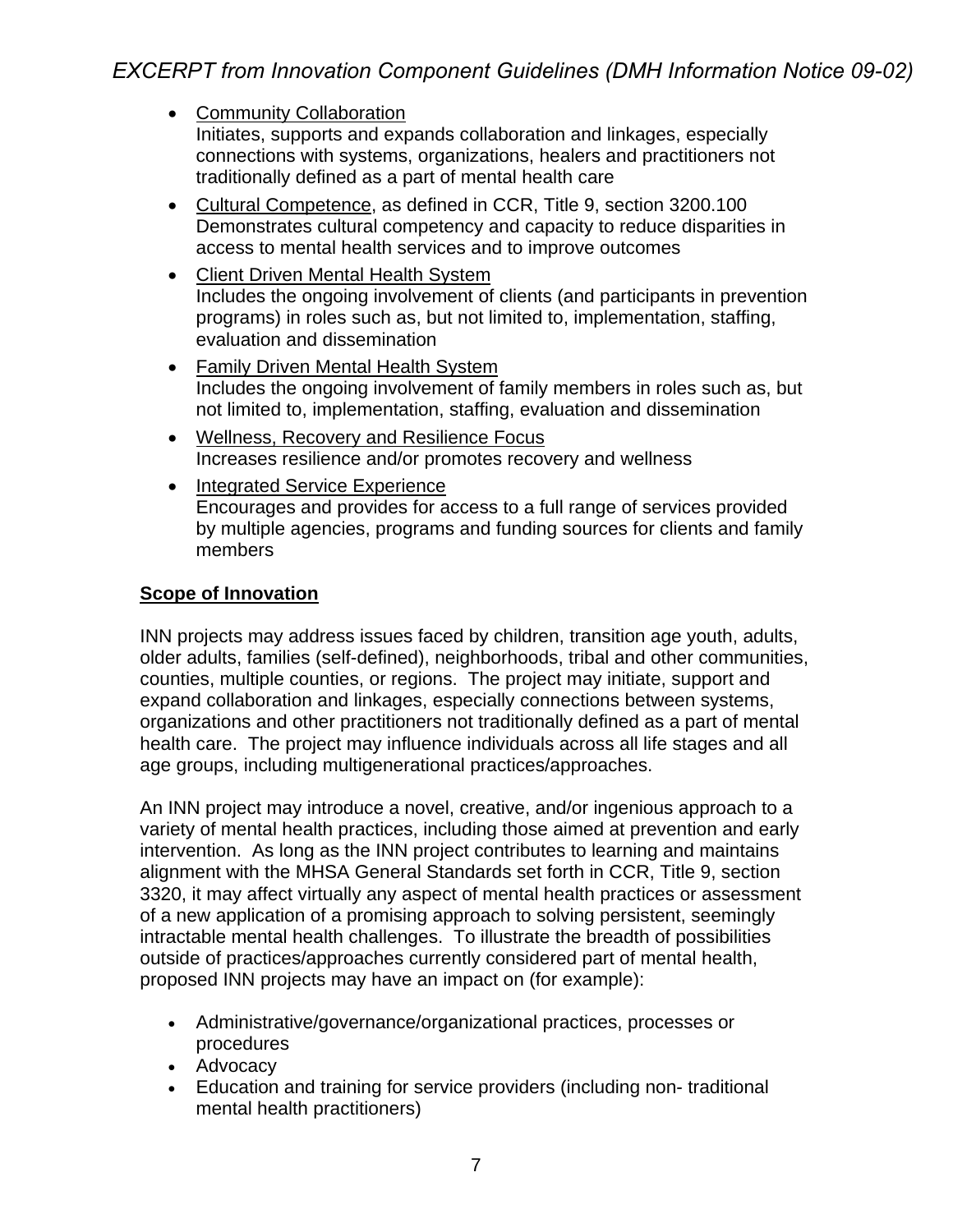- Community Collaboration Initiates, supports and expands collaboration and linkages, especially connections with systems, organizations, healers and practitioners not traditionally defined as a part of mental health care
- Cultural Competence, as defined in CCR, Title 9, section 3200.100 Demonstrates cultural competency and capacity to reduce disparities in access to mental health services and to improve outcomes
- Client Driven Mental Health System Includes the ongoing involvement of clients (and participants in prevention programs) in roles such as, but not limited to, implementation, staffing, evaluation and dissemination
- Family Driven Mental Health System Includes the ongoing involvement of family members in roles such as, but not limited to, implementation, staffing, evaluation and dissemination
- Wellness, Recovery and Resilience Focus Increases resilience and/or promotes recovery and wellness
- Integrated Service Experience Encourages and provides for access to a full range of services provided by multiple agencies, programs and funding sources for clients and family members

## **Scope of Innovation**

INN projects may address issues faced by children, transition age youth, adults, older adults, families (self-defined), neighborhoods, tribal and other communities, counties, multiple counties, or regions. The project may initiate, support and expand collaboration and linkages, especially connections between systems, organizations and other practitioners not traditionally defined as a part of mental health care. The project may influence individuals across all life stages and all age groups, including multigenerational practices/approaches.

An INN project may introduce a novel, creative, and/or ingenious approach to a variety of mental health practices, including those aimed at prevention and early intervention. As long as the INN project contributes to learning and maintains alignment with the MHSA General Standards set forth in CCR, Title 9, section 3320, it may affect virtually any aspect of mental health practices or assessment of a new application of a promising approach to solving persistent, seemingly intractable mental health challenges. To illustrate the breadth of possibilities outside of practices/approaches currently considered part of mental health, proposed INN projects may have an impact on (for example):

- Administrative/governance/organizational practices, processes or procedures
- Advocacy
- Education and training for service providers (including non- traditional mental health practitioners)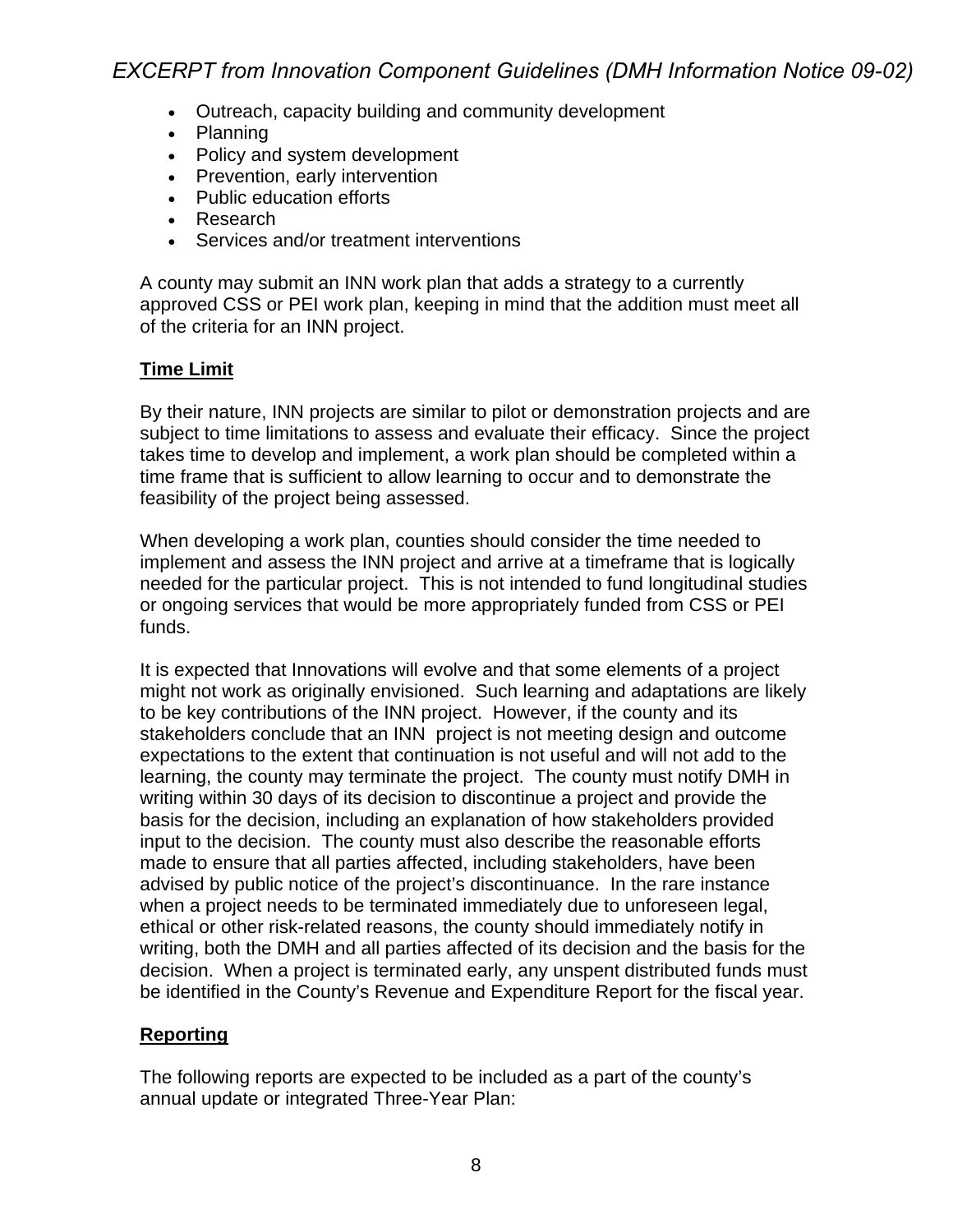- Outreach, capacity building and community development
- Planning
- Policy and system development
- Prevention, early intervention
- Public education efforts
- Research
- Services and/or treatment interventions

A county may submit an INN work plan that adds a strategy to a currently approved CSS or PEI work plan, keeping in mind that the addition must meet all of the criteria for an INN project.

#### **Time Limit**

By their nature, INN projects are similar to pilot or demonstration projects and are subject to time limitations to assess and evaluate their efficacy. Since the project takes time to develop and implement, a work plan should be completed within a time frame that is sufficient to allow learning to occur and to demonstrate the feasibility of the project being assessed.

When developing a work plan, counties should consider the time needed to implement and assess the INN project and arrive at a timeframe that is logically needed for the particular project. This is not intended to fund longitudinal studies or ongoing services that would be more appropriately funded from CSS or PEI funds.

It is expected that Innovations will evolve and that some elements of a project might not work as originally envisioned. Such learning and adaptations are likely to be key contributions of the INN project. However, if the county and its stakeholders conclude that an INN project is not meeting design and outcome expectations to the extent that continuation is not useful and will not add to the learning, the county may terminate the project. The county must notify DMH in writing within 30 days of its decision to discontinue a project and provide the basis for the decision, including an explanation of how stakeholders provided input to the decision. The county must also describe the reasonable efforts made to ensure that all parties affected, including stakeholders, have been advised by public notice of the project's discontinuance. In the rare instance when a project needs to be terminated immediately due to unforeseen legal, ethical or other risk-related reasons, the county should immediately notify in writing, both the DMH and all parties affected of its decision and the basis for the decision. When a project is terminated early, any unspent distributed funds must be identified in the County's Revenue and Expenditure Report for the fiscal year.

### **Reporting**

The following reports are expected to be included as a part of the county's annual update or integrated Three-Year Plan: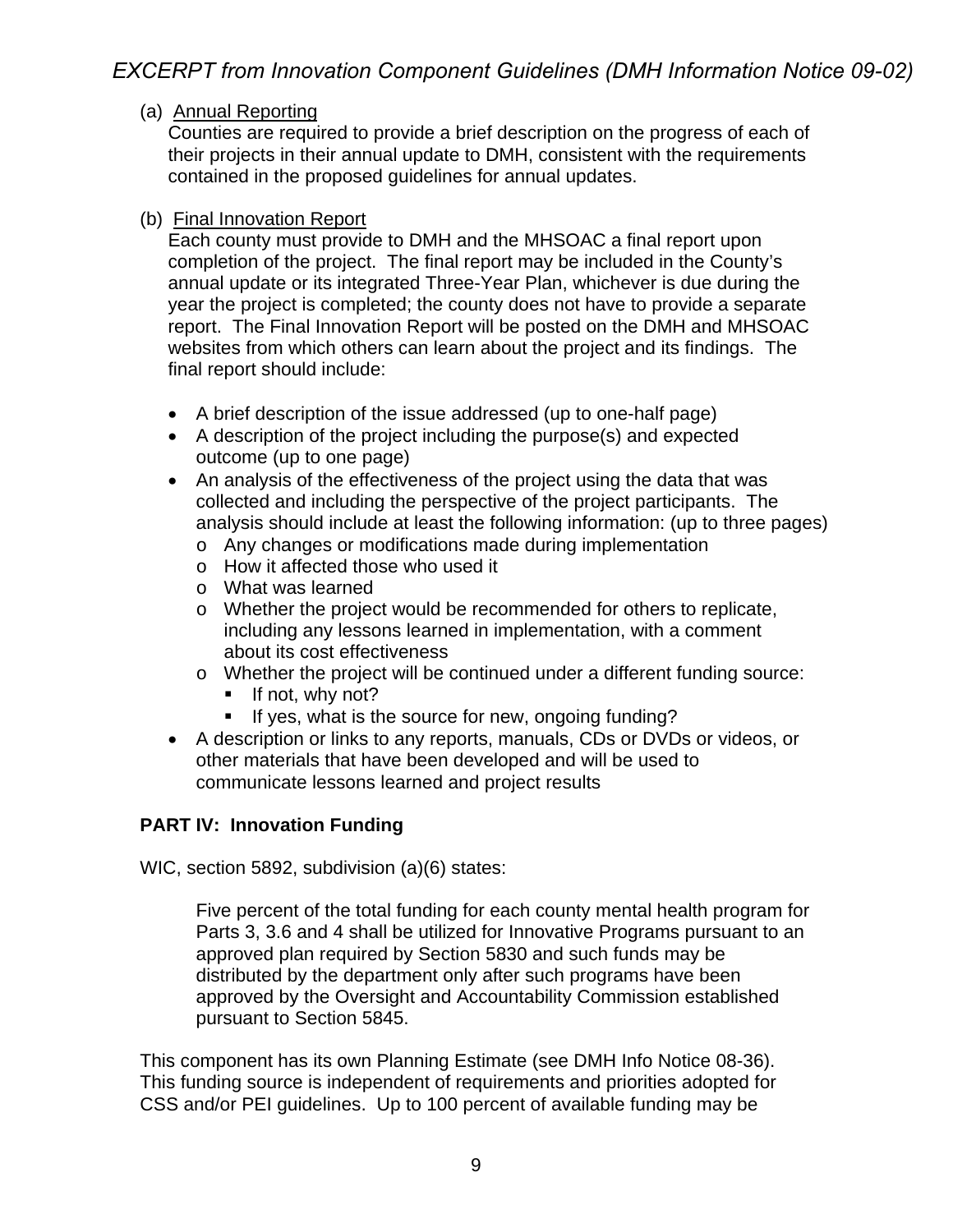#### (a) Annual Reporting

Counties are required to provide a brief description on the progress of each of their projects in their annual update to DMH, consistent with the requirements contained in the proposed guidelines for annual updates.

#### (b) Final Innovation Report

Each county must provide to DMH and the MHSOAC a final report upon completion of the project. The final report may be included in the County's annual update or its integrated Three-Year Plan, whichever is due during the year the project is completed; the county does not have to provide a separate report. The Final Innovation Report will be posted on the DMH and MHSOAC websites from which others can learn about the project and its findings. The final report should include:

- A brief description of the issue addressed (up to one-half page)
- A description of the project including the purpose(s) and expected outcome (up to one page)
- An analysis of the effectiveness of the project using the data that was collected and including the perspective of the project participants. The analysis should include at least the following information: (up to three pages)
	- o Any changes or modifications made during implementation
	- o How it affected those who used it
	- o What was learned
	- o Whether the project would be recommended for others to replicate, including any lessons learned in implementation, with a comment about its cost effectiveness
	- o Whether the project will be continued under a different funding source:
		- $\blacksquare$  If not, why not?
		- If yes, what is the source for new, ongoing funding?
- A description or links to any reports, manuals, CDs or DVDs or videos, or other materials that have been developed and will be used to communicate lessons learned and project results

### **PART IV: Innovation Funding**

WIC, section 5892, subdivision (a)(6) states:

Five percent of the total funding for each county mental health program for Parts 3, 3.6 and 4 shall be utilized for Innovative Programs pursuant to an approved plan required by Section 5830 and such funds may be distributed by the department only after such programs have been approved by the Oversight and Accountability Commission established pursuant to Section 5845.

This component has its own Planning Estimate (see DMH Info Notice 08-36). This funding source is independent of requirements and priorities adopted for CSS and/or PEI guidelines. Up to 100 percent of available funding may be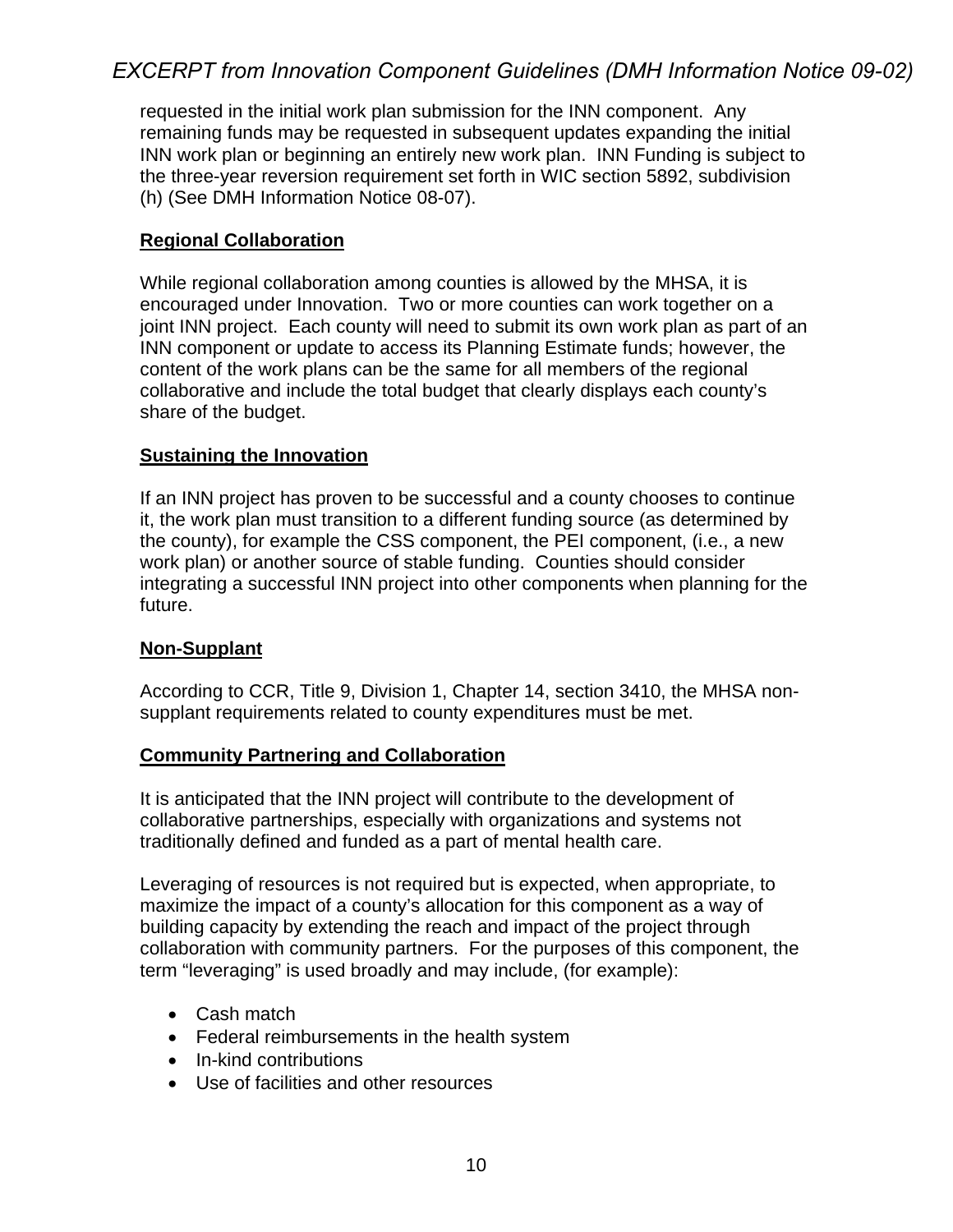requested in the initial work plan submission for the INN component. Any remaining funds may be requested in subsequent updates expanding the initial INN work plan or beginning an entirely new work plan. INN Funding is subject to the three-year reversion requirement set forth in WIC section 5892, subdivision (h) (See DMH Information Notice 08-07).

#### **Regional Collaboration**

While regional collaboration among counties is allowed by the MHSA, it is encouraged under Innovation. Two or more counties can work together on a joint INN project. Each county will need to submit its own work plan as part of an INN component or update to access its Planning Estimate funds; however, the content of the work plans can be the same for all members of the regional collaborative and include the total budget that clearly displays each county's share of the budget.

#### **Sustaining the Innovation**

If an INN project has proven to be successful and a county chooses to continue it, the work plan must transition to a different funding source (as determined by the county), for example the CSS component, the PEI component, (i.e., a new work plan) or another source of stable funding. Counties should consider integrating a successful INN project into other components when planning for the future.

#### **Non-Supplant**

According to CCR, Title 9, Division 1, Chapter 14, section 3410, the MHSA nonsupplant requirements related to county expenditures must be met.

#### **Community Partnering and Collaboration**

It is anticipated that the INN project will contribute to the development of collaborative partnerships, especially with organizations and systems not traditionally defined and funded as a part of mental health care.

Leveraging of resources is not required but is expected, when appropriate, to maximize the impact of a county's allocation for this component as a way of building capacity by extending the reach and impact of the project through collaboration with community partners. For the purposes of this component, the term "leveraging" is used broadly and may include, (for example):

- Cash match
- Federal reimbursements in the health system
- In-kind contributions
- Use of facilities and other resources